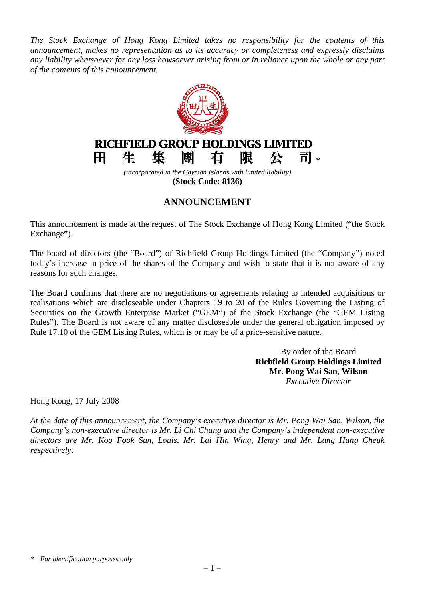*The Stock Exchange of Hong Kong Limited takes no responsibility for the contents of this announcement, makes no representation as to its accuracy or completeness and expressly disclaims any liability whatsoever for any loss howsoever arising from or in reliance upon the whole or any part of the contents of this announcement.*



## **ANNOUNCEMENT**

This announcement is made at the request of The Stock Exchange of Hong Kong Limited ("the Stock Exchange").

The board of directors (the "Board") of Richfield Group Holdings Limited (the "Company") noted today's increase in price of the shares of the Company and wish to state that it is not aware of any reasons for such changes.

The Board confirms that there are no negotiations or agreements relating to intended acquisitions or realisations which are discloseable under Chapters 19 to 20 of the Rules Governing the Listing of Securities on the Growth Enterprise Market ("GEM") of the Stock Exchange (the "GEM Listing Rules"). The Board is not aware of any matter discloseable under the general obligation imposed by Rule 17.10 of the GEM Listing Rules, which is or may be of a price-sensitive nature.

> By order of the Board **Richfield Group Holdings Limited Mr. Pong Wai San, Wilson** *Executive Director*

Hong Kong, 17 July 2008

*At the date of this announcement, the Company's executive director is Mr. Pong Wai San, Wilson, the Company's non-executive director is Mr. Li Chi Chung and the Company's independent non-executive directors are Mr. Koo Fook Sun, Louis, Mr. Lai Hin Wing, Henry and Mr. Lung Hung Cheuk respectively.* 

*<sup>\*</sup> For identification purposes only*